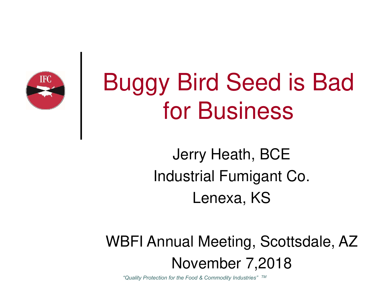

## Buggy Bird Seed is Bad for Business

Jerry Heath, BCE Industrial Fumigant Co. Lenexa, KS

WBFI Annual Meeting, Scottsdale, AZ November 7,2018

*"Quality Protection for the Food & Commodity Industries"* TM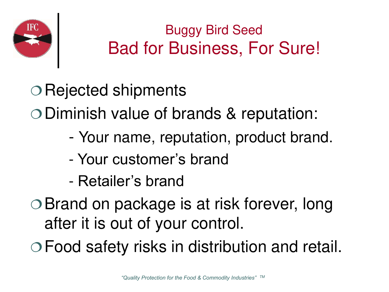

#### Buggy Bird Seed Bad for Business, For Sure!

O Rejected shipments Diminish value of brands & reputation:

- Your name, reputation, product brand.
- Your customer's brand
- Retailer's brand
- Brand on package is at risk forever, long after it is out of your control.

Food safety risks in distribution and retail.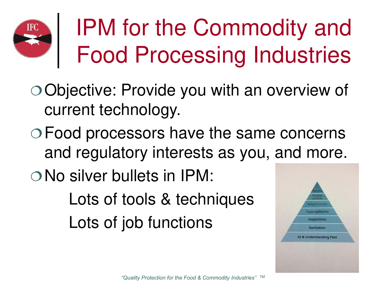### IPM for the Commodity and Food Processing Industries

- Objective: Provide you with an overview of current technology.
- Food processors have the same concerns and regulatory interests as you, and more.
- O No silver bullets in IPM:

Lots of tools & techniques Lots of job functions

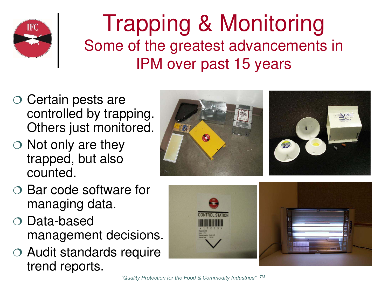

#### Trapping & Monitoring Some of the greatest advancements in IPM over past 15 years

- $\circ$  Certain pests are controlled by trapping. Others just monitored.
- $\circ$  Not only are they trapped, but also counted.
- TREC
- $\circ$  Bar code software for managing data.
- Data-based management decisions.
- Audit standards require trend reports.

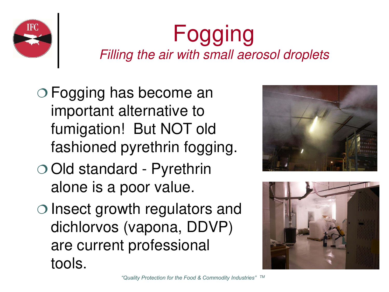

### Fogging Filling the air with small aerosol droplets

- Fogging has become an important alternative to fumigation! But NOT old fashioned pyrethrin fogging.
- Old standard Pyrethrin alone is a poor value.
- $\circ$  lnsect growth regulators and dichlorvos (vapona, DDVP) are current professional tools.



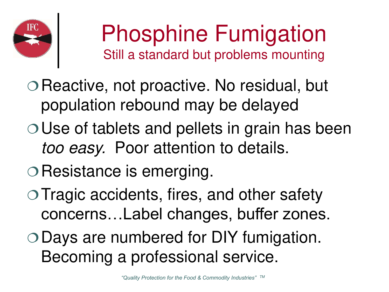

### Phosphine Fumigation Still a standard but problems mounting

- $\circ$  Reactive, not proactive. No residual, but population rebound may be delayed
- Use of tablets and pellets in grain has been too easy. Poor attention to details.
- O Resistance is emerging.
- $\circ$  Tragic accidents, fires, and other safety concerns…Label changes, buffer zones.
- Days are numbered for DIY fumigation. Becoming a professional service.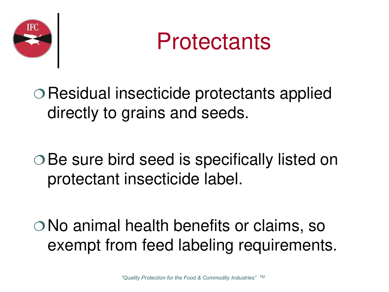



Residual insecticide protectants applied directly to grains and seeds.

○ Be sure bird seed is specifically listed on protectant insecticide label.

No animal health benefits or claims, so exempt from feed labeling requirements.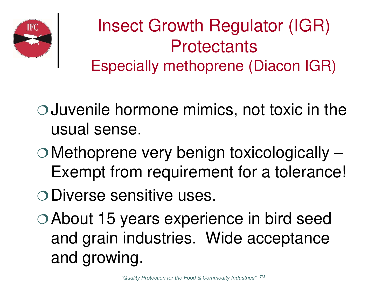

#### Insect Growth Regulator (IGR) **Protectants** Especially methoprene (Diacon IGR)

- Juvenile hormone mimics, not toxic in the usual sense.
- Methoprene very benign toxicologically Exempt from requirement for a tolerance!
- O Diverse sensitive uses.
- About 15 years experience in bird seed and grain industries. Wide acceptance and growing.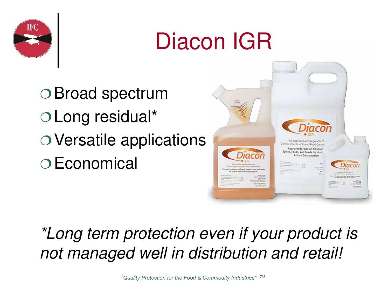

### Diacon IGR

Broad spectrum Long residual\* Versatile applications Economical



#### \*Long term protection even if your product is not managed well in distribution and retail!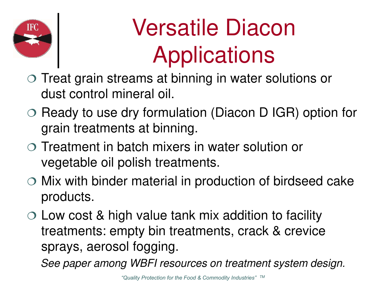

## Versatile Diacon Applications

- Treat grain streams at binning in water solutions or dust control mineral oil.
- $\circ$  Ready to use dry formulation (Diacon D IGR) option for grain treatments at binning.
- Treatment in batch mixers in water solution or vegetable oil polish treatments.
- $\circ$  Mix with binder material in production of birdseed cake products.
- $\circ$  Low cost & high value tank mix addition to facility treatments: empty bin treatments, crack & crevice sprays, aerosol fogging.

See paper among WBFI resources on treatment system design.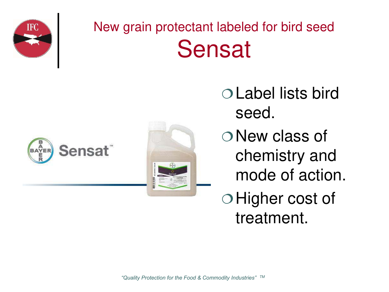

### New grain protectant labeled for bird seed Sensat





Label lists bird seed.

O New class of chemistry and mode of action.

O Higher cost of treatment.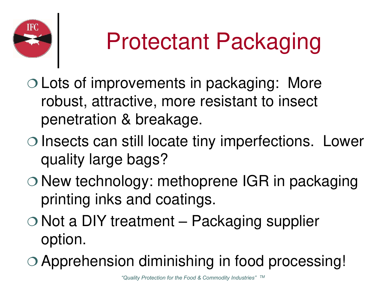

# Protectant Packaging

- Lots of improvements in packaging: More robust, attractive, more resistant to insect penetration & breakage.
- $\circ$  Insects can still locate tiny imperfections. Lower quality large bags?
- $\circ$  New technology: methoprene IGR in packaging printing inks and coatings.
- $\circ$  Not a DIY treatment Packaging supplier option.
- Apprehension diminishing in food processing!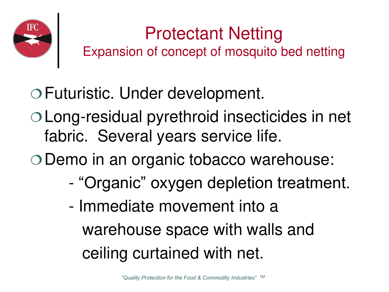

#### Protectant Netting Expansion of concept of mosquito bed netting

Futuristic. Under development.

Long-residual pyrethroid insecticides in net fabric. Several years service life.

O Demo in an organic tobacco warehouse:

- "Organic" oxygen depletion treatment.
- Immediate movement into a warehouse space with walls and ceiling curtained with net.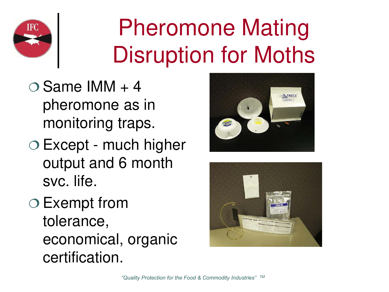

### Pheromone Mating Disruption for Moths

- $\bigcirc$  Same IMM + 4 pheromone as in monitoring traps.
- Except much higher output and 6 month svc. life.
- Exempt from tolerance, economical, organic certification.



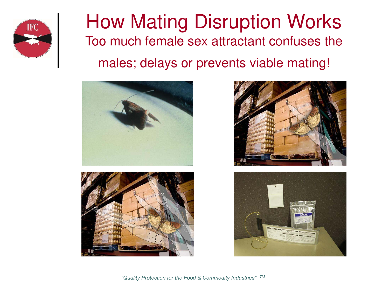

#### How Mating Disruption Works Too much female sex attractant confuses the males; delays or prevents viable mating!







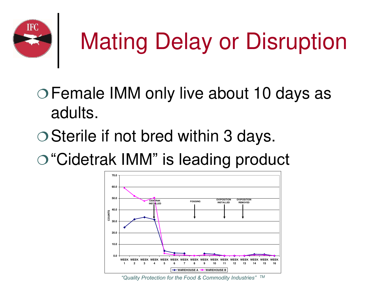

# Mating Delay or Disruption

- Female IMM only live about 10 days as adults.
- Sterile if not bred within 3 days.
- "Cidetrak IMM" is leading product



*"Quality Protection for the Food & Commodity Industries"* TM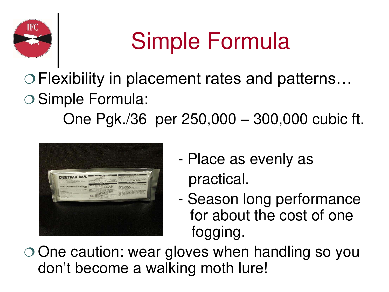

### Simple Formula

#### Flexibility in placement rates and patterns… Simple Formula: One Pgk./36 per 250,000 – 300,000 cubic ft.



- Place as evenly as practical.
- Season long performance for about the cost of one fogging.

 One caution: wear gloves when handling so you don't become a walking moth lure!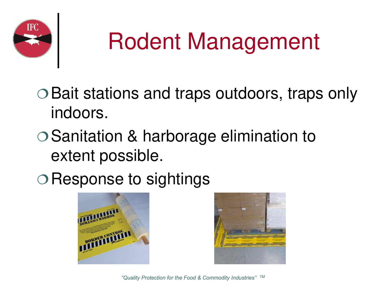

### Rodent Management

- Bait stations and traps outdoors, traps only indoors.
- Sanitation & harborage elimination to extent possible.
- O Response to sightings



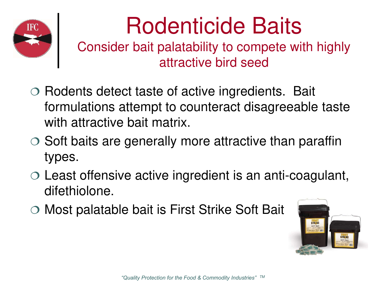

### Rodenticide Baits

Consider bait palatability to compete with highly attractive bird seed

- $\circ$  Rodents detect taste of active ingredients. Bait formulations attempt to counteract disagreeable taste with attractive bait matrix.
- $\circ$  Soft baits are generally more attractive than paraffin types.
- Least offensive active ingredient is an anti-coagulant, difethiolone.
- Most palatable bait is First Strike Soft Bait

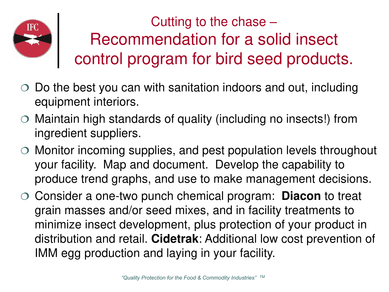

Cutting to the chase – Recommendation for a solid insect control program for bird seed products.

- Do the best you can with sanitation indoors and out, including equipment interiors.
- Maintain high standards of quality (including no insects!) from ingredient suppliers.
- Monitor incoming supplies, and pest population levels throughout your facility. Map and document. Develop the capability to produce trend graphs, and use to make management decisions.
- Consider a one-two punch chemical program: **Diacon** to treat grain masses and/or seed mixes, and in facility treatments to minimize insect development, plus protection of your product in distribution and retail. **Cidetrak**: Additional low cost prevention of IMM egg production and laying in your facility.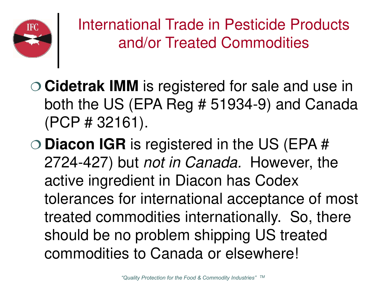

International Trade in Pesticide Products and/or Treated Commodities

- **Cidetrak IMM** is registered for sale and use in both the US (EPA Reg # 51934-9) and Canada (PCP # 32161).
- **Diacon IGR** is registered in the US (EPA # 2724-427) but not in Canada. However, the active ingredient in Diacon has Codex tolerances for international acceptance of most treated commodities internationally. So, there should be no problem shipping US treated commodities to Canada or elsewhere!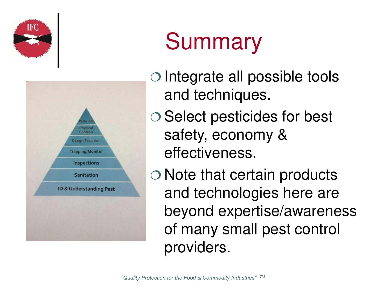



### **Summary**

- $\circ$  Integrate all possible tools and techniques.
- O Select pesticides for best safety, economy & effectiveness.
- Note that certain products and technologies here are beyond expertise/awareness of many small pest control providers.